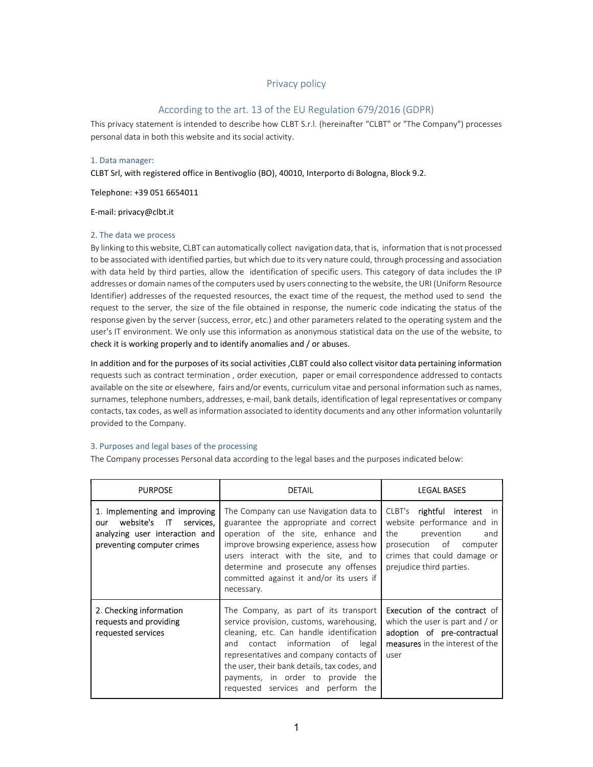# Privacy policy

## According to the art. 13 of the EU Regulation 679/2016 (GDPR)

This privacy statement is intended to describe how CLBT S.r.l. (hereinafter "CLBT" or "The Company") processes personal data in both this website and its social activity.

#### 1. Data manager:

CLBT Srl, with registered office in Bentivoglio (BO), 40010, Interporto di Bologna, Block 9.2.

Telephone: +39 051 6654011

E-mail: privacy@clbt.it

#### 2. The data we process

By linking to this website, CLBT can automatically collect navigation data, that is, information that is not processed to be associated with identified parties, but which due to its very nature could, through processing and association with data held by third parties, allow the identification of specific users. This category of data includes the IP addresses or domain names of the computers used by users connecting to the website, the URI (Uniform Resource Identifier) addresses of the requested resources, the exact time of the request, the method used to send the request to the server, the size of the file obtained in response, the numeric code indicating the status of the response given by the server (success, error, etc.) and other parameters related to the operating system and the user's IT environment. We only use this information as anonymous statistical data on the use of the website, to check it is working properly and to identify anomalies and / or abuses.

In addition and for the purposes of its social activities ,CLBT could also collect visitor data pertaining information requests such as contract termination , order execution, paper or email correspondence addressed to contacts available on the site or elsewhere, fairs and/or events, curriculum vitae and personal information such as names, surnames, telephone numbers, addresses, e-mail, bank details, identification of legal representatives or company contacts, tax codes, as well as information associated to identity documents and any other information voluntarily provided to the Company.

#### 3. Purposes and legal bases of the processing

The Company processes Personal data according to the legal bases and the purposes indicated below:

| <b>PURPOSE</b>                                                                                                                 | <b>DETAIL</b>                                                                                                                                                                                                                                                                                                                                 | <b>LEGAL BASES</b>                                                                                                                                                          |
|--------------------------------------------------------------------------------------------------------------------------------|-----------------------------------------------------------------------------------------------------------------------------------------------------------------------------------------------------------------------------------------------------------------------------------------------------------------------------------------------|-----------------------------------------------------------------------------------------------------------------------------------------------------------------------------|
| 1. Implementing and improving<br>website's IT services,<br>our<br>analyzing user interaction and<br>preventing computer crimes | The Company can use Navigation data to<br>guarantee the appropriate and correct<br>operation of the site, enhance and<br>improve browsing experience, assess how<br>users interact with the site, and to<br>determine and prosecute any offenses<br>committed against it and/or its users if<br>necessary.                                    | CLBT's rightful interest in<br>website performance and in<br>the<br>prevention<br>and<br>prosecution of computer<br>crimes that could damage or<br>prejudice third parties. |
| 2. Checking information<br>requests and providing<br>requested services                                                        | The Company, as part of its transport<br>service provision, customs, warehousing,<br>cleaning, etc. Can handle identification<br>contact information of<br>legal<br>and<br>representatives and company contacts of<br>the user, their bank details, tax codes, and<br>payments, in order to provide the<br>requested services and perform the | <b>Execution of the contract of</b><br>which the user is part and / or<br>adoption of pre-contractual<br>measures in the interest of the<br>user                            |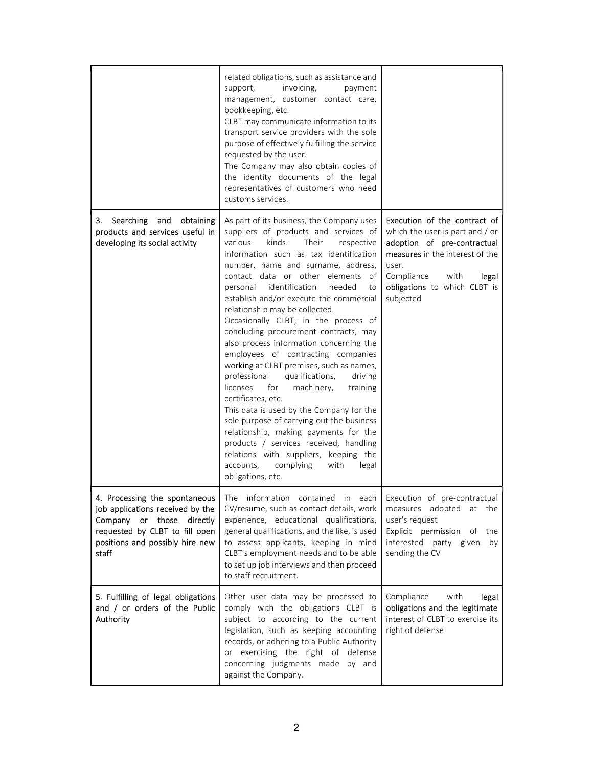|                                                                                                                                             | related obligations, such as assistance and<br>support,<br>invoicing,<br>payment<br>management, customer contact care,<br>bookkeeping, etc.<br>CLBT may communicate information to its<br>transport service providers with the sole<br>purpose of effectively fulfilling the service<br>requested by the user.<br>The Company may also obtain copies of<br>the identity documents of the legal<br>representatives of customers who need<br>customs services.                                                                                                                                                                                                                                                                                                                                                                                                                                                                                                                                       |                                                                                                                                                                                                                        |
|---------------------------------------------------------------------------------------------------------------------------------------------|----------------------------------------------------------------------------------------------------------------------------------------------------------------------------------------------------------------------------------------------------------------------------------------------------------------------------------------------------------------------------------------------------------------------------------------------------------------------------------------------------------------------------------------------------------------------------------------------------------------------------------------------------------------------------------------------------------------------------------------------------------------------------------------------------------------------------------------------------------------------------------------------------------------------------------------------------------------------------------------------------|------------------------------------------------------------------------------------------------------------------------------------------------------------------------------------------------------------------------|
| Searching and obtaining<br>3.<br>products and services useful in<br>developing its social activity                                          | As part of its business, the Company uses<br>suppliers of products and services of<br>kinds.<br>various<br>Their<br>respective<br>information such as tax identification<br>number, name and surname, address,<br>contact data or other elements of<br>identification<br>needed<br>personal<br>to<br>establish and/or execute the commercial<br>relationship may be collected.<br>Occasionally CLBT, in the process of<br>concluding procurement contracts, may<br>also process information concerning the<br>employees of contracting companies<br>working at CLBT premises, such as names,<br>professional<br>qualifications,<br>driving<br>licenses<br>for<br>machinery,<br>training<br>certificates, etc.<br>This data is used by the Company for the<br>sole purpose of carrying out the business<br>relationship, making payments for the<br>products / services received, handling<br>relations with suppliers, keeping the<br>complying<br>with<br>legal<br>accounts,<br>obligations, etc. | Execution of the contract of<br>which the user is part and / or<br>adoption of pre-contractual<br>measures in the interest of the<br>user.<br>Compliance<br>with<br>legal<br>obligations to which CLBT is<br>subjected |
| job applications received by the<br>Company or those directly<br>requested by CLBT to fill open<br>positions and possibly hire new<br>staff | 4. Processing the spontaneous   The information contained in each Execution of pre-contractual<br>CV/resume, such as contact details, work<br>experience, educational qualifications,<br>general qualifications, and the like, is used<br>to assess applicants, keeping in mind<br>CLBT's employment needs and to be able<br>to set up job interviews and then proceed<br>to staff recruitment.                                                                                                                                                                                                                                                                                                                                                                                                                                                                                                                                                                                                    | measures adopted at the<br>user's request<br>Explicit permission<br>of<br>the<br>interested party given<br>by<br>sending the CV                                                                                        |
| 5. Fulfilling of legal obligations<br>and / or orders of the Public<br>Authority                                                            | Other user data may be processed to<br>comply with the obligations CLBT is<br>subject to according to the current<br>legislation, such as keeping accounting<br>records, or adhering to a Public Authority<br>or exercising the right of defense<br>concerning judgments made by and<br>against the Company.                                                                                                                                                                                                                                                                                                                                                                                                                                                                                                                                                                                                                                                                                       | with<br>legal<br>Compliance<br>obligations and the legitimate<br>interest of CLBT to exercise its<br>right of defense                                                                                                  |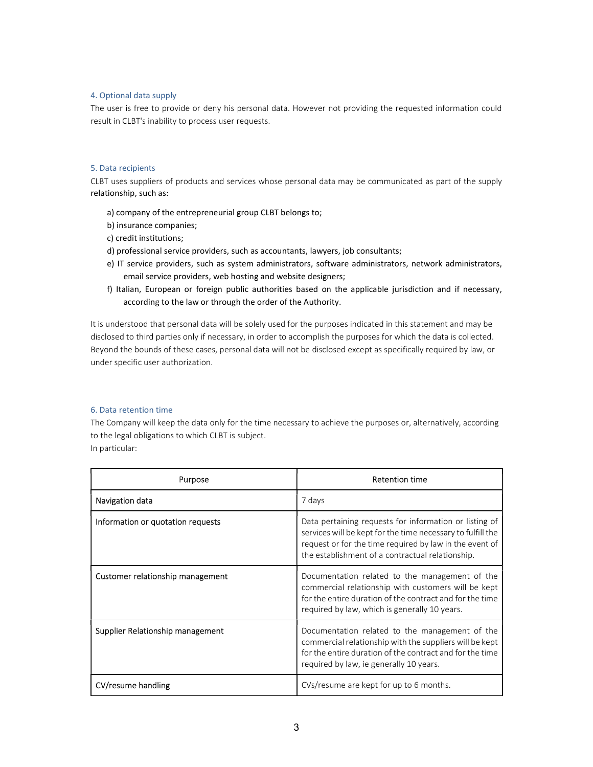## 4. Optional data supply

The user is free to provide or deny his personal data. However not providing the requested information could result in CLBT's inability to process user requests.

#### 5. Data recipients

CLBT uses suppliers of products and services whose personal data may be communicated as part of the supply relationship, such as:

- a) company of the entrepreneurial group CLBT belongs to;
- b) insurance companies;
- c) credit institutions;
- d) professional service providers, such as accountants, lawyers, job consultants;
- e) IT service providers, such as system administrators, software administrators, network administrators, email service providers, web hosting and website designers;
- f) Italian, European or foreign public authorities based on the applicable jurisdiction and if necessary, according to the law or through the order of the Authority.

It is understood that personal data will be solely used for the purposes indicated in this statement and may be disclosed to third parties only if necessary, in order to accomplish the purposes for which the data is collected. Beyond the bounds of these cases, personal data will not be disclosed except as specifically required by law, or under specific user authorization.

# 6. Data retention time

The Company will keep the data only for the time necessary to achieve the purposes or, alternatively, according to the legal obligations to which CLBT is subject. In particular:

| Purpose                           | <b>Retention time</b>                                                                                                                                                                                                                |  |
|-----------------------------------|--------------------------------------------------------------------------------------------------------------------------------------------------------------------------------------------------------------------------------------|--|
| Navigation data                   | 7 days                                                                                                                                                                                                                               |  |
| Information or quotation requests | Data pertaining requests for information or listing of<br>services will be kept for the time necessary to fulfill the<br>request or for the time required by law in the event of<br>the establishment of a contractual relationship. |  |
| Customer relationship management  | Documentation related to the management of the<br>commercial relationship with customers will be kept<br>for the entire duration of the contract and for the time<br>required by law, which is generally 10 years.                   |  |
| Supplier Relationship management  | Documentation related to the management of the<br>commercial relationship with the suppliers will be kept<br>for the entire duration of the contract and for the time<br>required by law, ie generally 10 years.                     |  |
| CV/resume handling                | CVs/resume are kept for up to 6 months.                                                                                                                                                                                              |  |